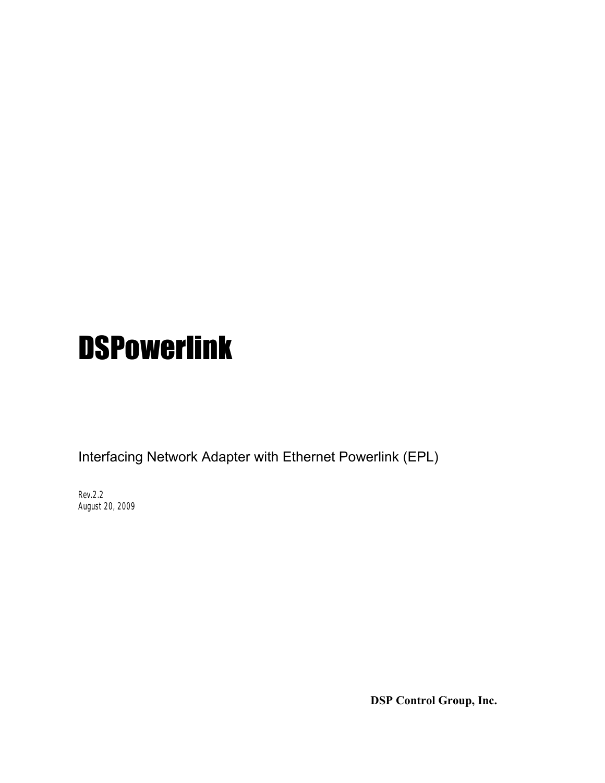# **DSPowerlink**

Interfacing Network Adapter with Ethernet Powerlink (EPL)

Rev.2.2 August 20, 2009

**DSP Control Group, Inc.**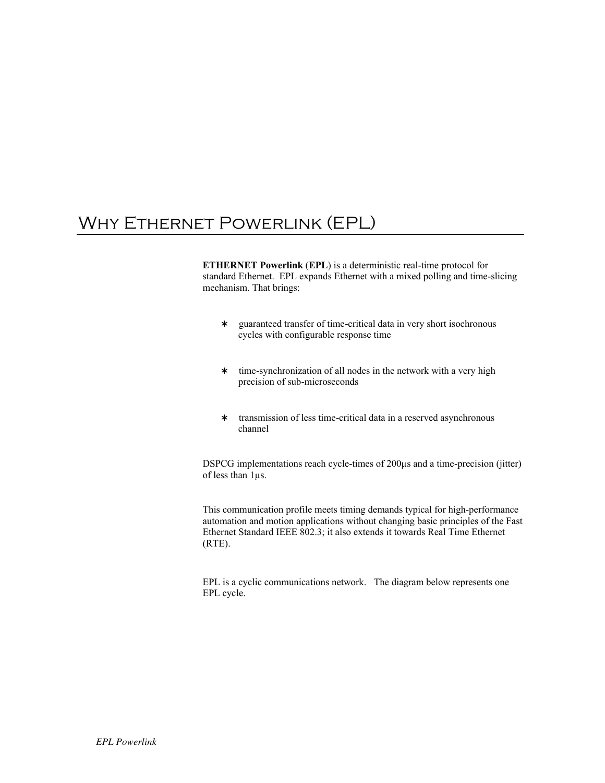## WHY ETHERNET POWERLINK (EPL)

**ETHERNET Powerlink** (**EPL**) is a deterministic real-time protocol for standard Ethernet. EPL expands Ethernet with a mixed polling and time-slicing mechanism. That brings:

> guaranteed transfer of time-critical data in very short isochronous cycles with configurable response time

> time-synchronization of all nodes in the network with a very high precision of sub-microseconds

> transmission of less time-critical data in a reserved asynchronous channel

DSPCG implementations reach cycle-times of 200µs and a time-precision (jitter) of less than 1µs.

This communication profile meets timing demands typical for high-performance automation and motion applications without changing basic principles of the Fast Ethernet Standard IEEE 802.3; it also extends it towards Real Time Ethernet (RTE).

EPL is a cyclic communications network. The diagram below represents one EPL cycle.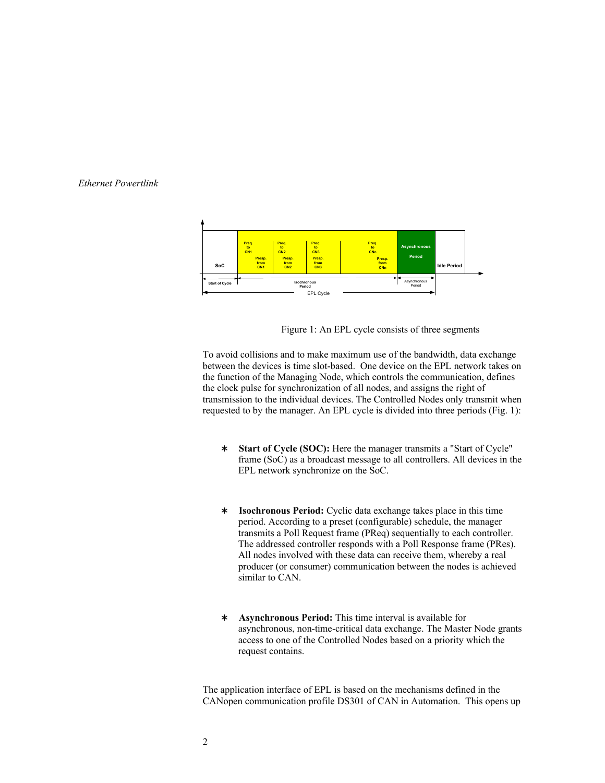

Figure 1: An EPL cycle consists of three segments

To avoid collisions and to make maximum use of the bandwidth, data exchange between the devices is time slot-based. One device on the EPL network takes on the function of the Managing Node, which controls the communication, defines the clock pulse for synchronization of all nodes, and assigns the right of transmission to the individual devices. The Controlled Nodes only transmit when requested to by the manager. An EPL cycle is divided into three periods (Fig. 1):

> **Start of Cycle (SOC):** Here the manager transmits a "Start of Cycle" frame (SoC) as a broadcast message to all controllers. All devices in the EPL network synchronize on the SoC.

**Isochronous Period:** Cyclic data exchange takes place in this time period. According to a preset (configurable) schedule, the manager transmits a Poll Request frame (PReq) sequentially to each controller. The addressed controller responds with a Poll Response frame (PRes). All nodes involved with these data can receive them, whereby a real producer (or consumer) communication between the nodes is achieved similar to CAN.

**Asynchronous Period:** This time interval is available for asynchronous, non-time-critical data exchange. The Master Node grants access to one of the Controlled Nodes based on a priority which the request contains.

The application interface of EPL is based on the mechanisms defined in the CANopen communication profile DS301 of CAN in Automation. This opens up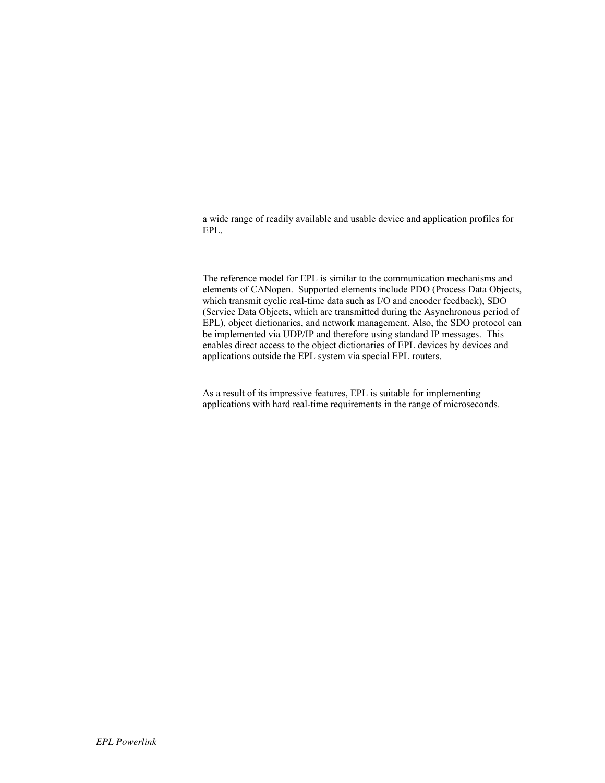a wide range of readily available and usable device and application profiles for EPL.

The reference model for EPL is similar to the communication mechanisms and elements of CANopen. Supported elements include PDO (Process Data Objects, which transmit cyclic real-time data such as I/O and encoder feedback), SDO (Service Data Objects, which are transmitted during the Asynchronous period of EPL), object dictionaries, and network management. Also, the SDO protocol can be implemented via UDP/IP and therefore using standard IP messages. This enables direct access to the object dictionaries of EPL devices by devices and applications outside the EPL system via special EPL routers.

As a result of its impressive features, EPL is suitable for implementing applications with hard real-time requirements in the range of microseconds.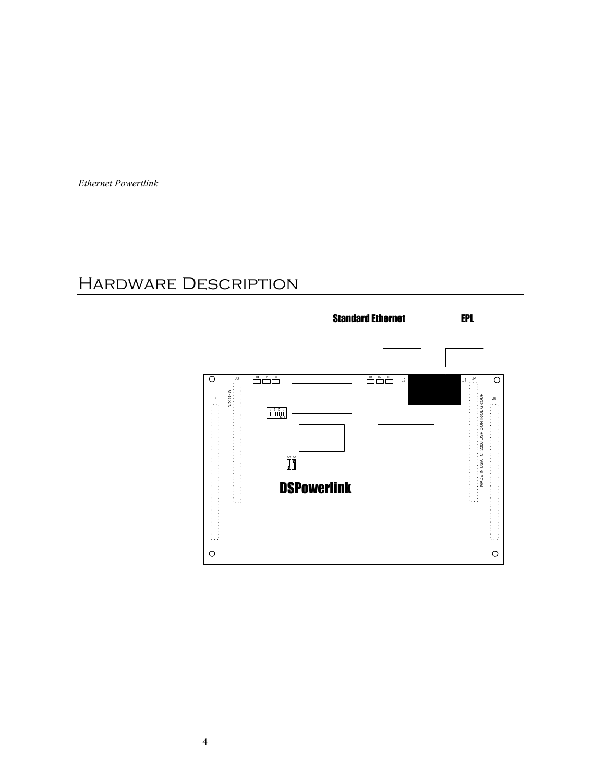## Hardware Description

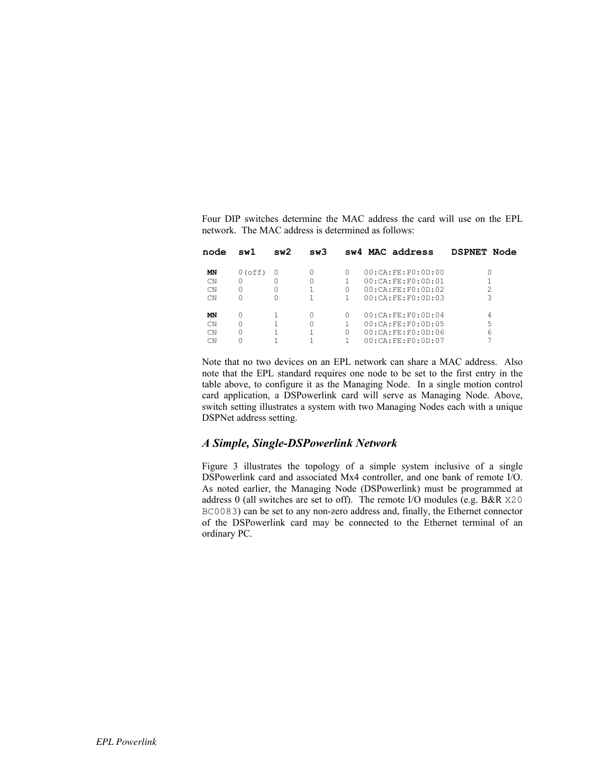Four DIP switches determine the MAC address the card will use on the EPL network. The MAC address is determined as follows:

| node      | swl       | sw2 | sw3 |          | sw4 MAC address   | DSPNET Node    |
|-----------|-----------|-----|-----|----------|-------------------|----------------|
| ΜN        | $0$ (off) |     |     | 0        | 00:CA:FR:FO:OD:00 |                |
| <b>CN</b> |           |     |     |          | 00:CA:FE:FO:OD:01 |                |
| <b>CN</b> | Ω         |     |     | 0        | 00:CA:FE:FO:OD:02 | $\mathfrak{D}$ |
| <b>CN</b> |           |     |     |          | 00:CA:FE:FO:OD:03 | 3              |
| ΜN        |           |     |     | 0        | 00:CA:FE:FO:OD:04 | 4              |
| <b>CN</b> |           |     |     |          | 00:CA:FE:FO:OD:05 | 5              |
| <b>CN</b> | U         |     |     | $\Omega$ | 00:CA:FE:FO:OD:06 | 6              |
| CN        |           |     |     |          | 00:CA:FR:FO:OD:07 |                |
|           |           |     |     |          |                   |                |

Note that no two devices on an EPL network can share a MAC address. Also note that the EPL standard requires one node to be set to the first entry in the table above, to configure it as the Managing Node. In a single motion control card application, a DSPowerlink card will serve as Managing Node. Above, switch setting illustrates a system with two Managing Nodes each with a unique DSPNet address setting.

#### *A Simple, Single-DSPowerlink Network*

Figure 3 illustrates the topology of a simple system inclusive of a single DSPowerlink card and associated Mx4 controller, and one bank of remote I/O. As noted earlier, the Managing Node (DSPowerlink) must be programmed at address 0 (all switches are set to off). The remote I/O modules (e.g. B&R X20 BC0083) can be set to any non-zero address and, finally, the Ethernet connector of the DSPowerlink card may be connected to the Ethernet terminal of an ordinary PC.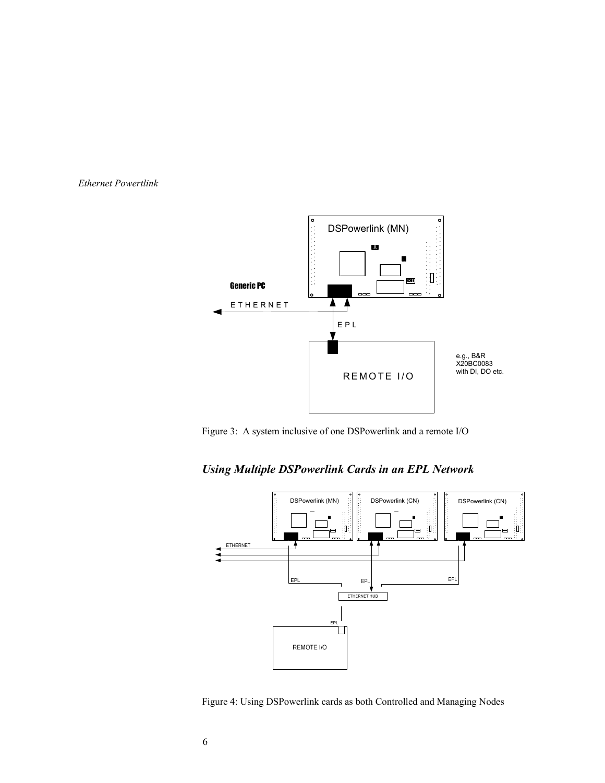

Figure 3: A system inclusive of one DSPowerlink and a remote I/O





Figure 4: Using DSPowerlink cards as both Controlled and Managing Nodes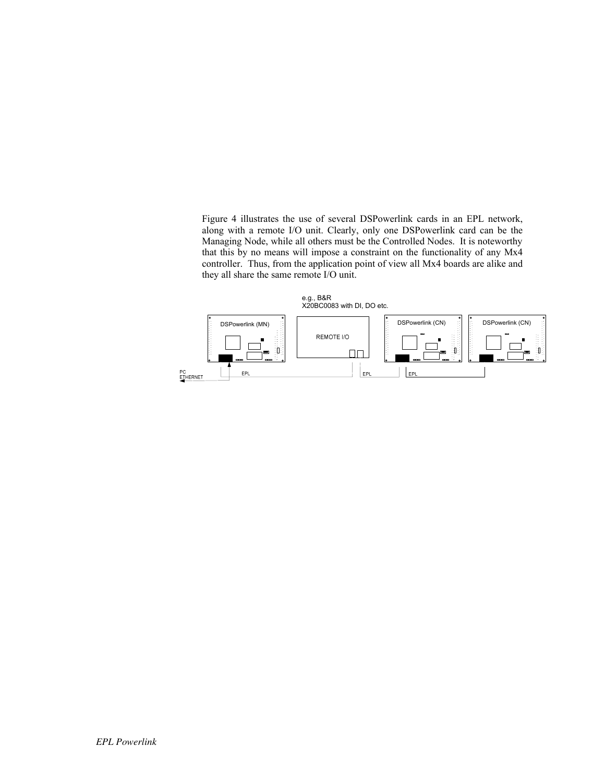Figure 4 illustrates the use of several DSPowerlink cards in an EPL network, along with a remote I/O unit. Clearly, only one DSPowerlink card can be the Managing Node, while all others must be the Controlled Nodes. It is noteworthy that this by no means will impose a constraint on the functionality of any Mx4 controller. Thus, from the application point of view all Mx4 boards are alike and they all share the same remote I/O unit.

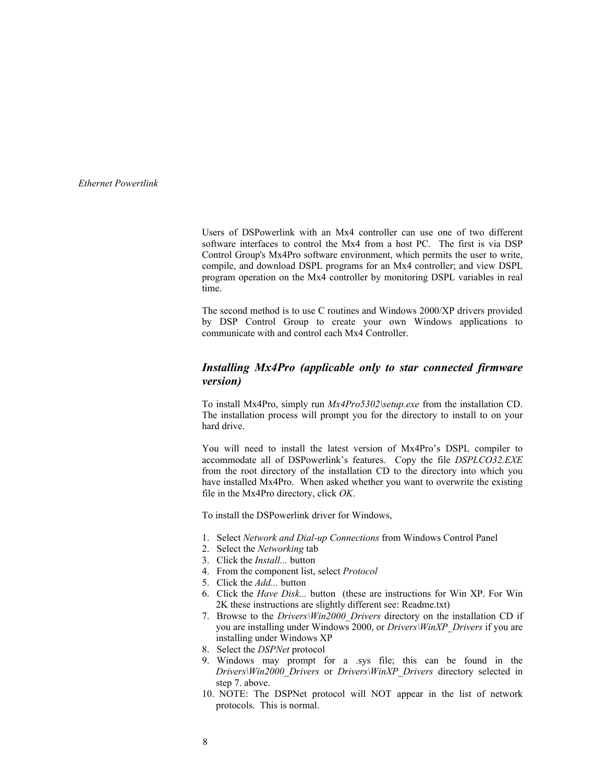Users of DSPowerlink with an Mx4 controller can use one of two different software interfaces to control the Mx4 from a host PC. The first is via DSP Control Group's Mx4Pro software environment, which permits the user to write, compile, and download DSPL programs for an Mx4 controller; and view DSPL program operation on the Mx4 controller by monitoring DSPL variables in real time.

The second method is to use C routines and Windows 2000/XP drivers provided by DSP Control Group to create your own Windows applications to communicate with and control each Mx4 Controller.

#### *Installing Mx4Pro (applicable only to star connected firmware version)*

To install Mx4Pro, simply run *Mx4Pro5302\setup.exe* from the installation CD. The installation process will prompt you for the directory to install to on your hard drive.

You will need to install the latest version of Mx4Pro's DSPL compiler to accommodate all of DSPowerlink's features. Copy the file *DSPLCO32.EXE* from the root directory of the installation CD to the directory into which you have installed Mx4Pro. When asked whether you want to overwrite the existing file in the Mx4Pro directory, click *OK*.

To install the DSPowerlink driver for Windows,

- 1. Select *Network and Dial-up Connections* from Windows Control Panel
- 2. Select the *Networking* tab
- 3. Click the *Install...* button
- 4. From the component list, select *Protocol*
- 5. Click the *Add...* button
- 6. Click the *Have Disk...* button (these are instructions for Win XP. For Win 2K these instructions are slightly different see: Readme.txt)
- 7. Browse to the *Drivers\Win2000\_Drivers* directory on the installation CD if you are installing under Windows 2000, or *Drivers\WinXP\_Drivers* if you are installing under Windows XP
- 8. Select the *DSPNet* protocol
- 9. Windows may prompt for a .sys file; this can be found in the *Drivers\Win2000\_Drivers* or *Drivers\WinXP\_Drivers* directory selected in step 7. above.
- 10. NOTE: The DSPNet protocol will NOT appear in the list of network protocols. This is normal.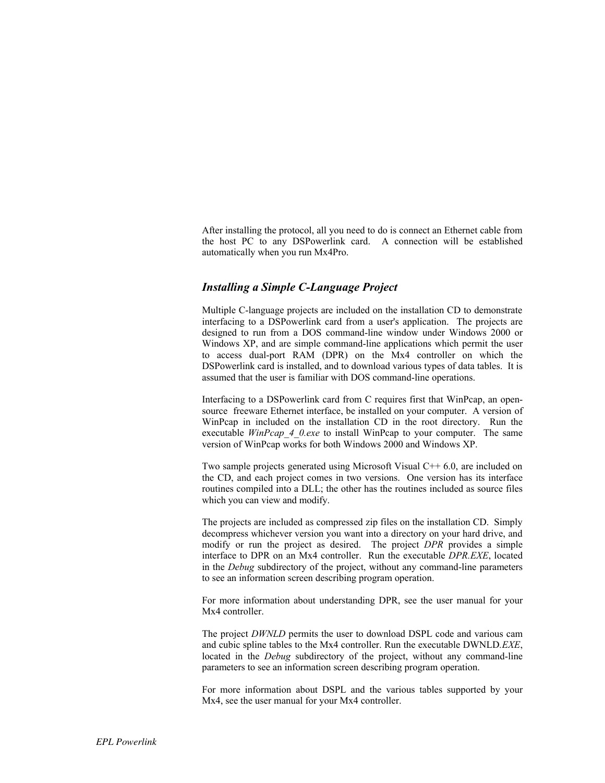After installing the protocol, all you need to do is connect an Ethernet cable from the host PC to any DSPowerlink card. A connection will be established automatically when you run Mx4Pro.

### *Installing a Simple C-Language Project*

Multiple C-language projects are included on the installation CD to demonstrate interfacing to a DSPowerlink card from a user's application. The projects are designed to run from a DOS command-line window under Windows 2000 or Windows XP, and are simple command-line applications which permit the user to access dual-port RAM (DPR) on the Mx4 controller on which the DSPowerlink card is installed, and to download various types of data tables. It is assumed that the user is familiar with DOS command-line operations.

Interfacing to a DSPowerlink card from C requires first that WinPcap, an opensource freeware Ethernet interface, be installed on your computer. A version of WinPcap in included on the installation CD in the root directory. Run the executable *WinPcap 4 0.exe* to install WinPcap to your computer. The same version of WinPcap works for both Windows 2000 and Windows XP.

Two sample projects generated using Microsoft Visual  $C++ 6.0$ , are included on the CD, and each project comes in two versions. One version has its interface routines compiled into a DLL; the other has the routines included as source files which you can view and modify.

The projects are included as compressed zip files on the installation CD. Simply decompress whichever version you want into a directory on your hard drive, and modify or run the project as desired. The project *DPR* provides a simple interface to DPR on an Mx4 controller. Run the executable *DPR.EXE*, located in the *Debug* subdirectory of the project, without any command-line parameters to see an information screen describing program operation.

For more information about understanding DPR, see the user manual for your Mx4 controller.

The project *DWNLD* permits the user to download DSPL code and various cam and cubic spline tables to the Mx4 controller. Run the executable DWNLD*.EXE*, located in the *Debug* subdirectory of the project, without any command-line parameters to see an information screen describing program operation.

For more information about DSPL and the various tables supported by your Mx4, see the user manual for your Mx4 controller.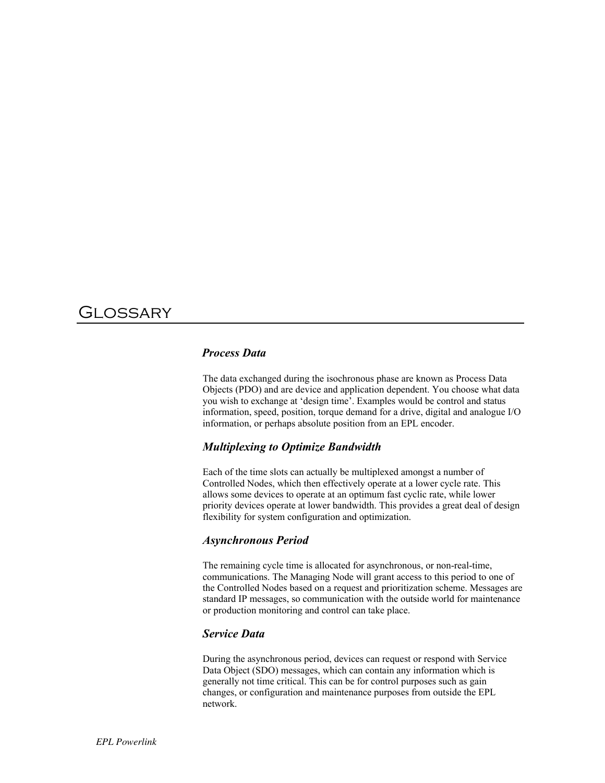## Glossary

#### *Process Data*

The data exchanged during the isochronous phase are known as Process Data Objects (PDO) and are device and application dependent. You choose what data you wish to exchange at 'design time'. Examples would be control and status information, speed, position, torque demand for a drive, digital and analogue I/O information, or perhaps absolute position from an EPL encoder.

#### *Multiplexing to Optimize Bandwidth*

Each of the time slots can actually be multiplexed amongst a number of Controlled Nodes, which then effectively operate at a lower cycle rate. This allows some devices to operate at an optimum fast cyclic rate, while lower priority devices operate at lower bandwidth. This provides a great deal of design flexibility for system configuration and optimization.

#### *Asynchronous Period*

The remaining cycle time is allocated for asynchronous, or non-real-time, communications. The Managing Node will grant access to this period to one of the Controlled Nodes based on a request and prioritization scheme. Messages are standard IP messages, so communication with the outside world for maintenance or production monitoring and control can take place.

#### *Service Data*

During the asynchronous period, devices can request or respond with Service Data Object (SDO) messages, which can contain any information which is generally not time critical. This can be for control purposes such as gain changes, or configuration and maintenance purposes from outside the EPL network.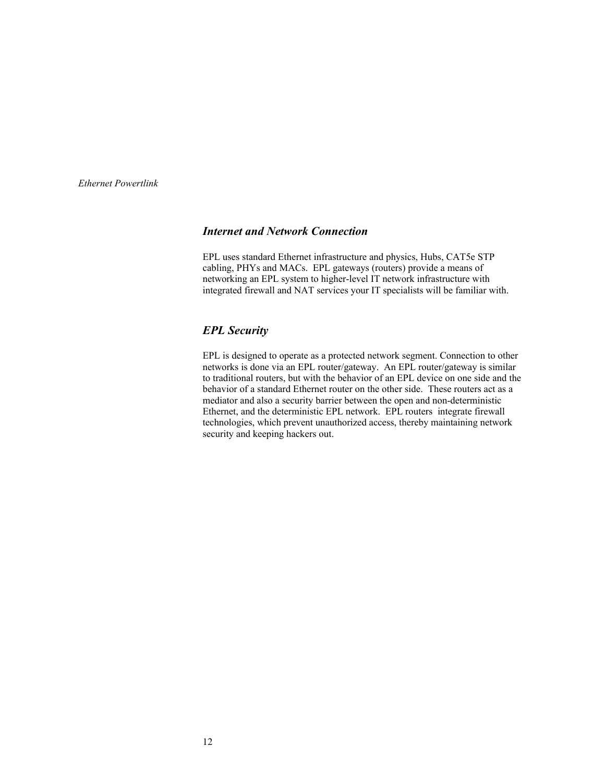#### *Internet and Network Connection*

EPL uses standard Ethernet infrastructure and physics, Hubs, CAT5e STP cabling, PHYs and MACs. EPL gateways (routers) provide a means of networking an EPL system to higher-level IT network infrastructure with integrated firewall and NAT services your IT specialists will be familiar with.

#### *EPL Security*

EPL is designed to operate as a protected network segment. Connection to other networks is done via an EPL router/gateway. An EPL router/gateway is similar to traditional routers, but with the behavior of an EPL device on one side and the behavior of a standard Ethernet router on the other side. These routers act as a mediator and also a security barrier between the open and non-deterministic Ethernet, and the deterministic EPL network. EPL routers integrate firewall technologies, which prevent unauthorized access, thereby maintaining network security and keeping hackers out.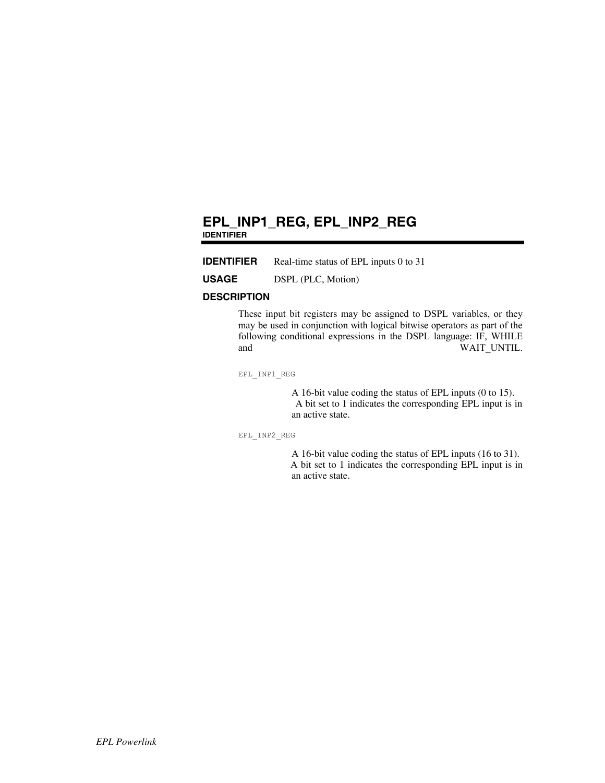### **EPL\_INP1\_REG, EPL\_INP2\_REG IDENTIFIER**

**IDENTIFIER** Real-time status of EPL inputs 0 to 31

**USAGE** DSPL (PLC, Motion)

#### **DESCRIPTION**

These input bit registers may be assigned to DSPL variables, or they may be used in conjunction with logical bitwise operators as part of the following conditional expressions in the DSPL language: IF, WHILE and WAIT\_UNTIL.

EPL\_INP1\_REG

A 16-bit value coding the status of EPL inputs (0 to 15). A bit set to 1 indicates the corresponding EPL input is in an active state.

EPL\_INP2\_REG

A 16-bit value coding the status of EPL inputs (16 to 31). A bit set to 1 indicates the corresponding EPL input is in an active state.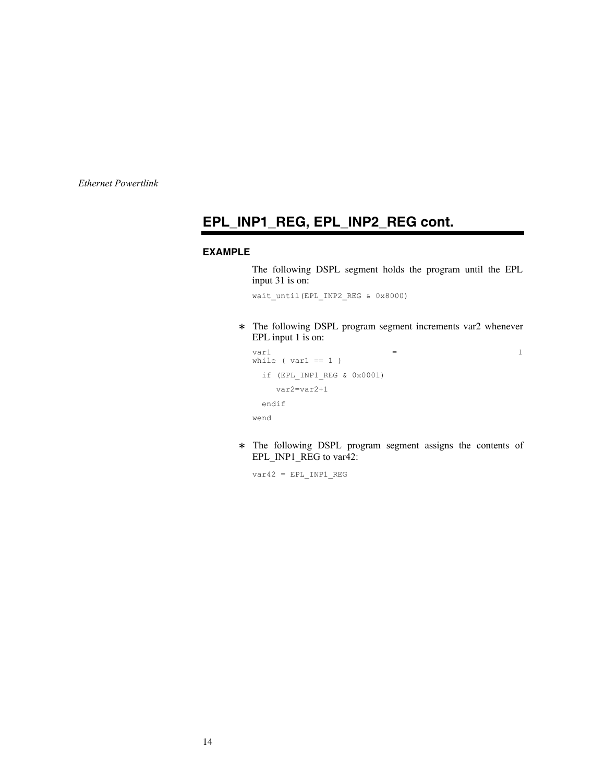### **EPL\_INP1\_REG, EPL\_INP2\_REG cont.**

#### **EXAMPLE**

The following DSPL segment holds the program until the EPL input 31 is on:

wait\_until(EPL\_INP2\_REG & 0x8000)

The following DSPL program segment increments var2 whenever EPL input 1 is on:

```
var1 = 1
while ( var1 == 1 ) 
 if (EPL INP1 REG & 0x0001)
    var2=var2+1
  endif
wend
```
The following DSPL program segment assigns the contents of EPL\_INP1\_REG to var42:

 $var42$  = EPL INP1 REG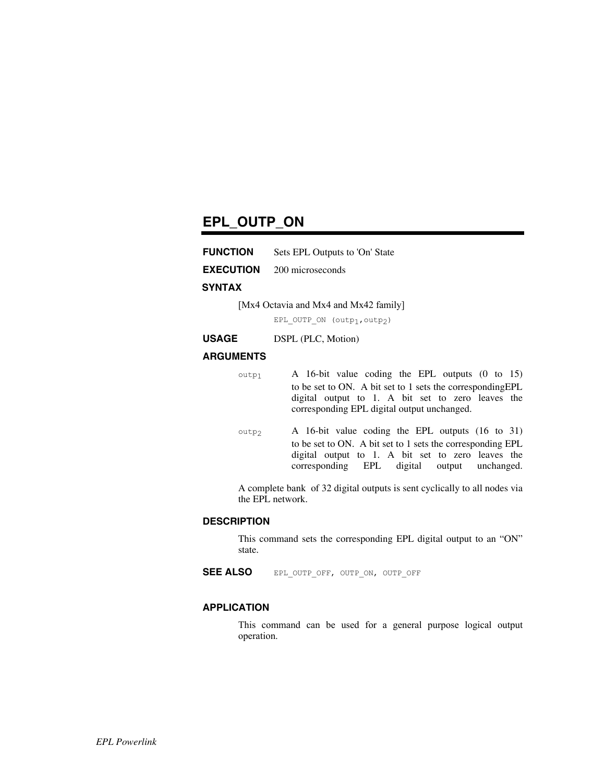### **EPL\_OUTP\_ON**

**EXECUTION** 200 microseconds

#### **SYNTAX**

[Mx4 Octavia and Mx4 and Mx42 family]

EPL\_OUTP\_ON (outp<sub>1</sub>, outp<sub>2</sub>)

**USAGE** DSPL (PLC, Motion)

#### **ARGUMENTS**

 $_{\text{output}}$  A 16-bit value coding the EPL outputs (0 to 15) to be set to ON. A bit set to 1 sets the correspondingEPL digital output to 1. A bit set to zero leaves the corresponding EPL digital output unchanged.

 $_{\text{outp2}}$  A 16-bit value coding the EPL outputs (16 to 31) to be set to ON. A bit set to 1 sets the corresponding EPL digital output to 1. A bit set to zero leaves the corresponding EPL digital output unchanged.

A complete bank of 32 digital outputs is sent cyclically to all nodes via the EPL network.

#### **DESCRIPTION**

This command sets the corresponding EPL digital output to an "ON" state.

SEE ALSO EPL\_OUTP\_OFF, OUTP\_ON, OUTP\_OFF

#### **APPLICATION**

This command can be used for a general purpose logical output operation.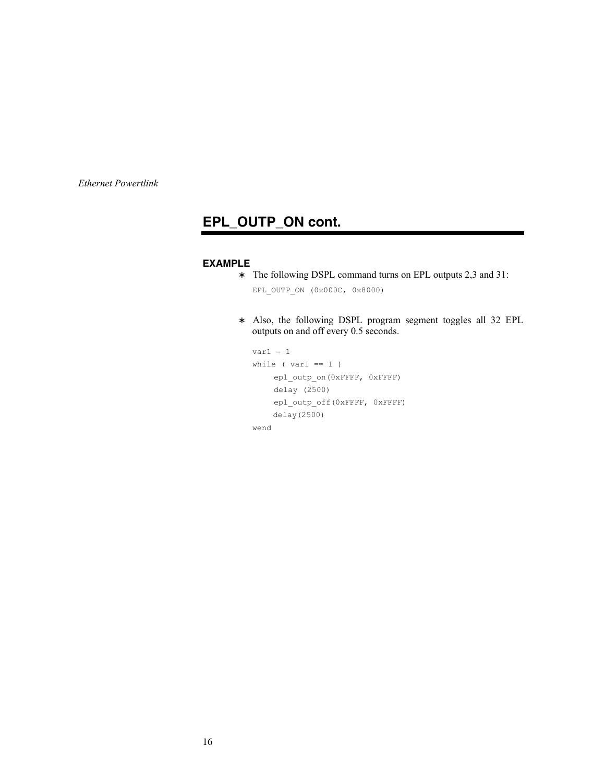### **EPL\_OUTP\_ON cont.**

### **EXAMPLE**

The following DSPL command turns on EPL outputs 2,3 and 31:

EPL\_OUTP\_ON (0x000C, 0x8000)

Also, the following DSPL program segment toggles all 32 EPL outputs on and off every 0.5 seconds.

```
var1 = 1while ( var1 == 1 )
    epl_outp_on(0xFFFF, 0xFFFF)
    delay (2500)
    epl_outp_off(0xFFFF, 0xFFFF)
    delay(2500)
wend
```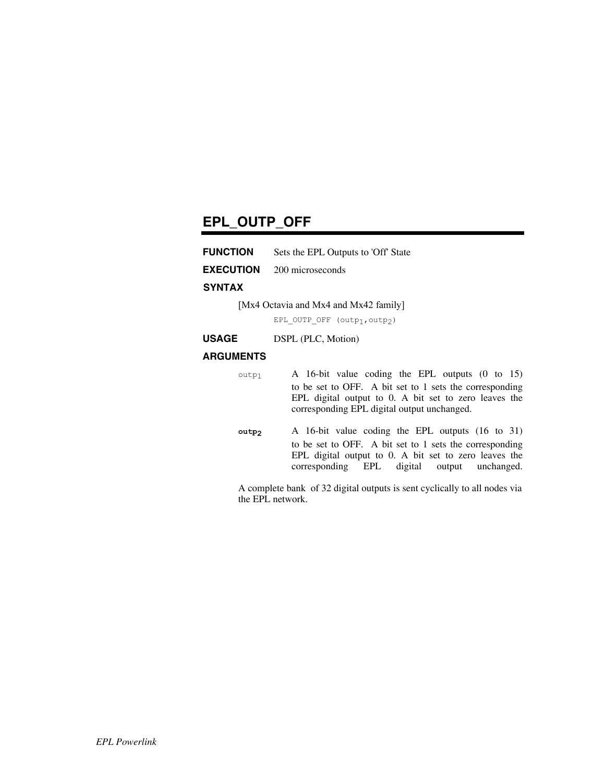### **EPL\_OUTP\_OFF**

| <b>FUNCTION</b> | Sets the EPL Outputs to 'Off' State |  |
|-----------------|-------------------------------------|--|
|                 |                                     |  |

**EXECUTION** 200 microseconds

#### **SYNTAX**

[Mx4 Octavia and Mx4 and Mx42 family]

EPL\_OUTP\_OFF (outp<sub>1</sub>, outp<sub>2</sub>)

**USAGE** DSPL (PLC, Motion)

#### **ARGUMENTS**

outp1 A 16-bit value coding the EPL outputs (0 to 15) to be set to OFF. A bit set to 1 sets the corresponding EPL digital output to 0. A bit set to zero leaves the corresponding EPL digital output unchanged.

**outp2** A 16-bit value coding the EPL outputs (16 to 31) to be set to OFF. A bit set to 1 sets the corresponding EPL digital output to 0. A bit set to zero leaves the corresponding EPL digital output unchanged.

A complete bank of 32 digital outputs is sent cyclically to all nodes via the EPL network.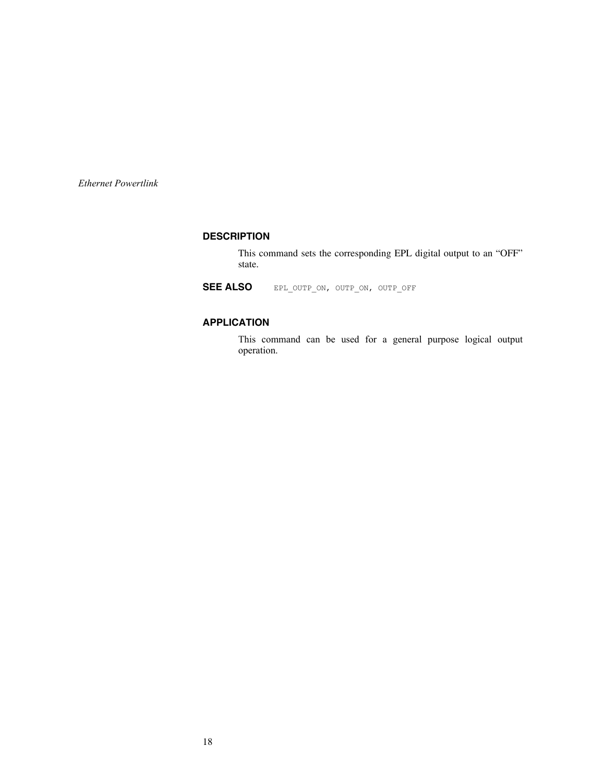#### **DESCRIPTION**

This command sets the corresponding EPL digital output to an "OFF" state.

**SEE ALSO** EPL\_OUTP\_ON, OUTP\_ON, OUTP\_OFF

### **APPLICATION**

This command can be used for a general purpose logical output operation.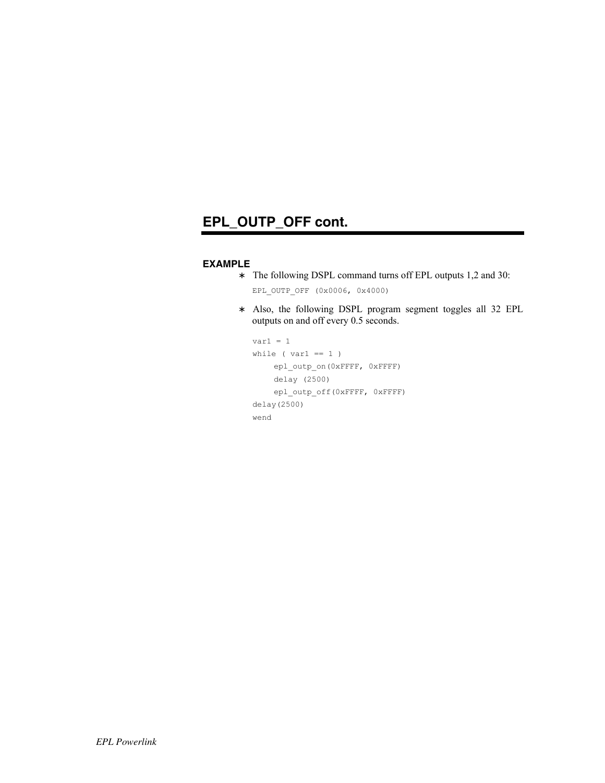### **EPL\_OUTP\_OFF cont.**

#### **EXAMPLE**

The following DSPL command turns off EPL outputs 1,2 and 30:

EPL OUTP OFF  $(0x0006, 0x4000)$ 

Also, the following DSPL program segment toggles all 32 EPL outputs on and off every 0.5 seconds.

```
var1 = 1while ( var1 == 1 )
    epl_outp_on(0xFFFF, 0xFFFF)
    delay (2500)
    epl_outp_off(0xFFFF, 0xFFFF)
delay(2500)
wend
```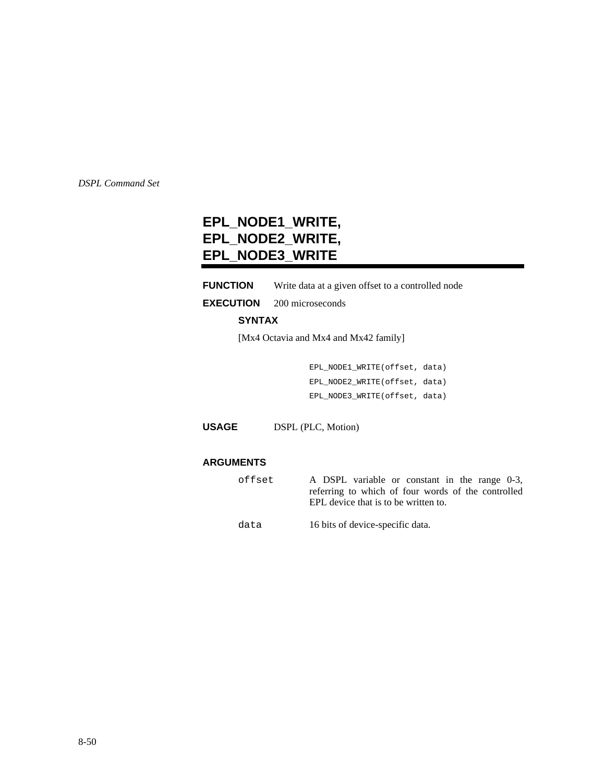### **EPL\_NODE1\_WRITE, EPL\_NODE2\_WRITE, EPL\_NODE3\_WRITE**

#### **FUNCTION** Write data at a given offset to a controlled node

**EXECUTION** 200 microseconds

#### **SYNTAX**

[Mx4 Octavia and Mx4 and Mx42 family]

EPL\_NODE1\_WRITE(offset, data) EPL\_NODE2\_WRITE(offset, data) EPL\_NODE3\_WRITE(offset, data)

**USAGE** DSPL (PLC, Motion)

#### **ARGUMENTS**

offset A DSPL variable or constant in the range 0-3, referring to which of four words of the controlled EPL device that is to be written to.

data 16 bits of device-specific data.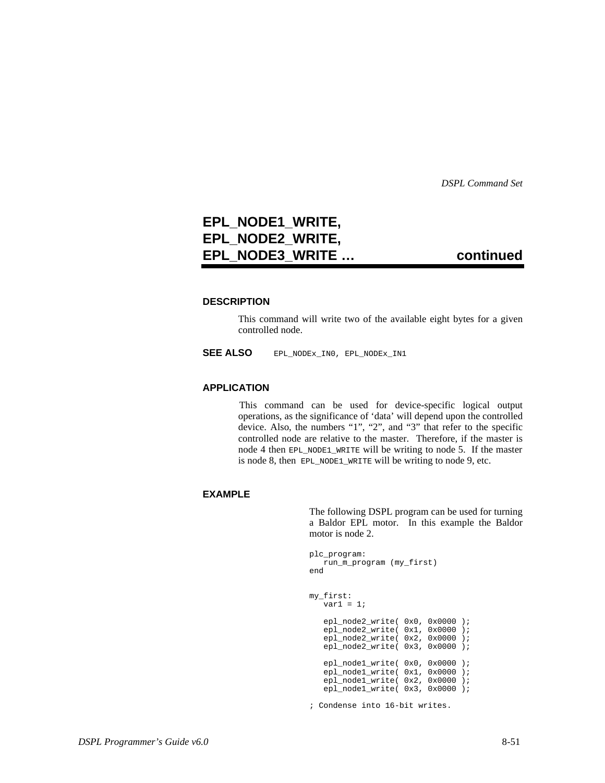### **EPL\_NODE1\_WRITE, EPL\_NODE2\_WRITE, EPL\_NODE3\_WRITE … continued**

#### **DESCRIPTION**

This command will write two of the available eight bytes for a given controlled node.

**SEE ALSO** EPL\_NODEx\_IN0, EPL\_NODEx\_IN1

#### **APPLICATION**

 This command can be used for device-specific logical output operations, as the significance of 'data' will depend upon the controlled device. Also, the numbers "1", "2", and "3" that refer to the specific controlled node are relative to the master. Therefore, if the master is node 4 then EPL\_NODE1\_WRITE will be writing to node 5. If the master is node 8, then EPL\_NODE1\_WRITE will be writing to node 9, etc.

#### **EXAMPLE**

The following DSPL program can be used for turning a Baldor EPL motor. In this example the Baldor motor is node 2.

```
plc_program:
    run_m_program (my_first)
end
my_first:
    var1 = 1;
    epl_node2_write( 0x0, 0x0000 );
   ep1_model2_write( 0x1, 0x0000 );
   ep1_model_write( 0x2, 0x0000 );
   ep1_model_write( 0x3, 0x0000 );
    epl_node1_write( 0x0, 0x0000 );
    epl_node1_write( 0x1, 0x0000 );
 epl_node1_write( 0x2, 0x0000 );
 epl_node1_write( 0x3, 0x0000 );
```
; Condense into 16-bit writes.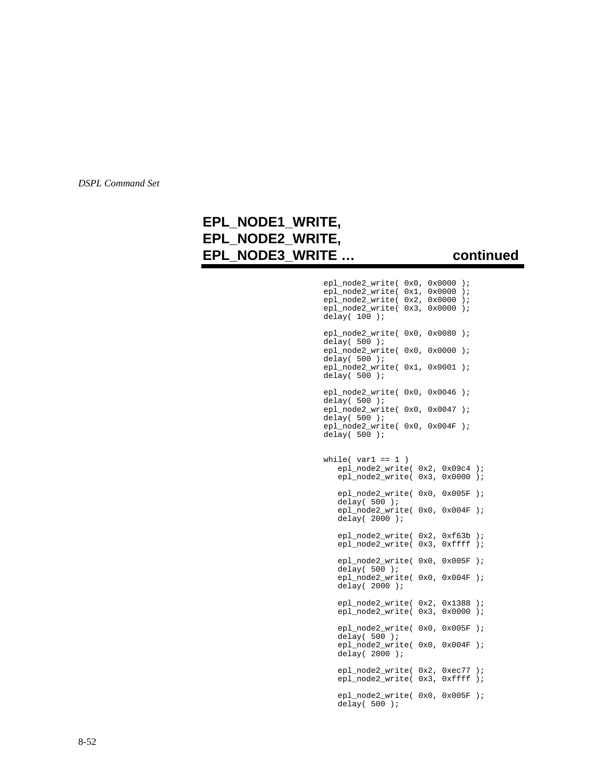### **EPL\_NODE1\_WRITE, EPL\_NODE2\_WRITE, EPL\_NODE3\_WRITE … continued**

 epl\_node2\_write( 0x0, 0x0000 ); epl\_node2\_write( 0x1, 0x0000 ); epl\_node2\_write( 0x2, 0x0000 ); epl\_node2\_write( 0x3, 0x0000 ); delay( $100$ ); epl\_node2\_write( $0x0, 0x0080$ );<br>delay( $500$ ); delay( 500 ); epl\_node2\_write( 0x0, 0x0000 ); delay( 500 ); epl\_node2\_write( 0x1, 0x0001 ); delay( 500 ); epl\_node2\_write( 0x0, 0x0046 );  $\overline{delay(500)}$  ); epl\_node2\_write( 0x0, 0x0047 );  $\det$ <sup>-</sup>ay( 500 ); epl\_node2\_write( 0x0, 0x004F ); delay( 500 ); while(  $var1 == 1$  ) epl\_node2\_write( 0x2, 0x09c4 ); epl\_node2\_write( 0x3, 0x0000 ); epl\_node2\_write( 0x0, 0x005F ); delay( 500 ); epl\_node2\_write( 0x0, 0x004F ); delay( 2000 ); epl\_node2\_write( 0x2, 0xf63b ); epl\_node2\_write( 0x3, 0xffff ); epl\_node2\_write( 0x0, 0x005F ); delay( $500$ ); epl\_node2\_write( 0x0, 0x004F ); delay( 2000 ); epl\_node2\_write( 0x2, 0x1388 ); epl\_node2\_write( 0x3, 0x0000 ); epl\_node2\_write( 0x0, 0x005F );  $\overline{delay(500)}$  ); epl\_node2\_write( 0x0, 0x004F ); delay( $2000$ ); epl\_node2\_write( 0x2, 0xec77 ); epl\_node2\_write( 0x3, 0xffff ); epl\_node2\_write( 0x0, 0x005F );  $\overline{delay(500)}$  );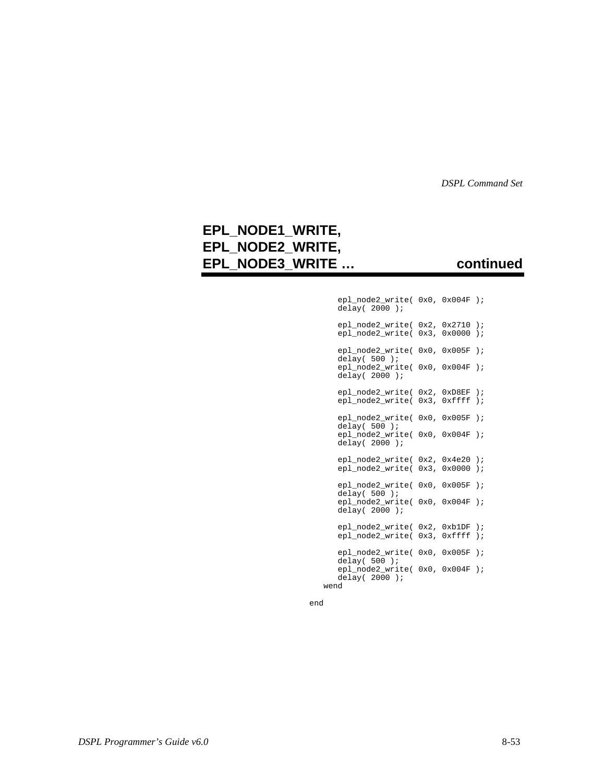### **EPL\_NODE1\_WRITE, EPL\_NODE2\_WRITE, EPL\_NODE3\_WRITE … continued**

| epl_node2_write( 0x0, 0x004F );<br>delay $(2000)$ ; |         |                  |               |
|-----------------------------------------------------|---------|------------------|---------------|
| epl_node2_write(                                    |         | 0x2, 0x2710      | $\,$ ;        |
| epl_node2_write(                                    |         | 0x3, 0x0000      | $)$ ;         |
| epl_node2_write(<br>$delay(500)$ ;                  |         | 0x0.0x005F       | $\rightarrow$ |
| epl_node2_write(<br>delay $(2000)$ ;                |         | $0x0$ , $0x004F$ | $\rightarrow$ |
| epl_node2_write(                                    | $0x2$ , | 0xD8EF           | $\,$ ;        |
| epl node2 write(                                    | $0x3$ , | 0xffff           | $\,$ ;        |
| epl_node2_write(<br>delay( $500$ );                 |         | 0x0, 0x005F      | $\rightarrow$ |
| epl_node2_write(<br>delay $(2000)$ ;                |         | $0x0$ , $0x004F$ | $\rightarrow$ |
| epl_node2_write(                                    |         | $0x2$ , $0x4e20$ | $\,$ ;        |
| epl_node2_write(                                    |         | 0x3, 0x0000      | $)$ ;         |
| epl_node2_write(<br>delay( $500$ );                 |         | 0x0, 0x005F      | $\,$ ;        |
| epl_node2_write(<br>delay $(2000)$ ;                |         | 0x0, 0x004F      | $\,$ ;        |
| epl_node2_write(                                    | $0x2$ , | 0xb1DF           | $\,$ ;        |
| epl_node2_write(                                    | $0x3$ , | 0xffff           | $\,$ ;        |
| epl_node2_write(<br>delay $(500)$ ;                 |         | 0x0, 0x005F      | $\rightarrow$ |
| epl_node2_write(<br>delay $(2000)$ ;<br>wend        |         | 0x0, 0x004F      | $\,$ ;        |

end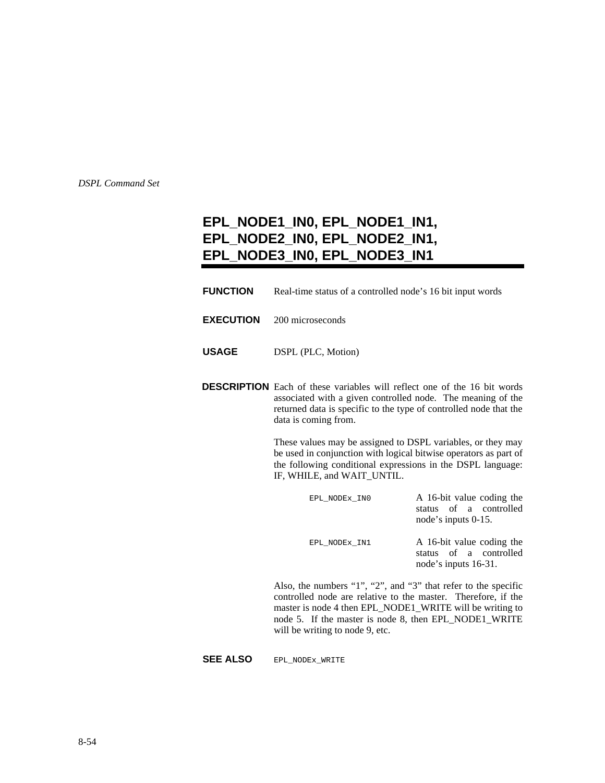### **EPL\_NODE1\_IN0, EPL\_NODE1\_IN1, EPL\_NODE2\_IN0, EPL\_NODE2\_IN1, EPL\_NODE3\_IN0, EPL\_NODE3\_IN1**

- **FUNCTION** Real-time status of a controlled node's 16 bit input words
- **EXECUTION** 200 microseconds
- **USAGE** DSPL (PLC, Motion)
- **DESCRIPTION** Each of these variables will reflect one of the 16 bit words associated with a given controlled node. The meaning of the returned data is specific to the type of controlled node that the data is coming from.

These values may be assigned to DSPL variables, or they may be used in conjunction with logical bitwise operators as part of the following conditional expressions in the DSPL language: IF, WHILE, and WAIT\_UNTIL.

| EPL NODEX INO | A 16-bit value coding the<br>status of a controlled<br>node's inputs 0-15.  |
|---------------|-----------------------------------------------------------------------------|
| EPL NODEX IN1 | A 16-bit value coding the<br>status of a controlled<br>node's inputs 16-31. |
|               |                                                                             |

Also, the numbers "1", "2", and "3" that refer to the specific controlled node are relative to the master. Therefore, if the master is node 4 then EPL\_NODE1\_WRITE will be writing to node 5. If the master is node 8, then EPL\_NODE1\_WRITE will be writing to node 9, etc.

#### **SEE ALSO** EPL\_NODEx\_WRITE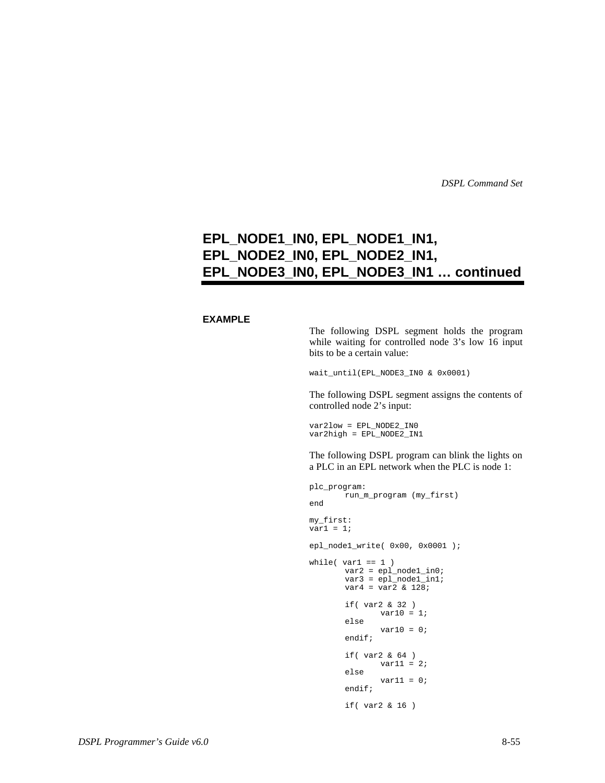### **EPL\_NODE1\_IN0, EPL\_NODE1\_IN1, EPL\_NODE2\_IN0, EPL\_NODE2\_IN1, EPL\_NODE3\_IN0, EPL\_NODE3\_IN1 … continued**

#### **EXAMPLE**

The following DSPL segment holds the program while waiting for controlled node 3's low 16 input bits to be a certain value:

wait\_until(EPL\_NODE3\_IN0 & 0x0001)

The following DSPL segment assigns the contents of controlled node 2's input:

var2low = EPL\_NODE2\_IN0  $var2high = EPL_NODE2_N1$ 

The following DSPL program can blink the lights on a PLC in an EPL network when the PLC is node 1:

```
plc_program:
       run_m_program (my_first)
end
my_first:
var1 = 1;
epl_node1_write( 0x00, 0x0001 );
while( var1 == 1 )
       var2 = epl_node1_in0;
        var3 = epl_node1_in1;
        var4 = var2 & 128;
       if( var2 & 32 )
             var10 = 1;
       else
               var10 = 0;
       endif;
       if( var2 & 64 )
              var11 = 2ielse
               var11 = 0;
       endif;
       if( var2 & 16 )
```